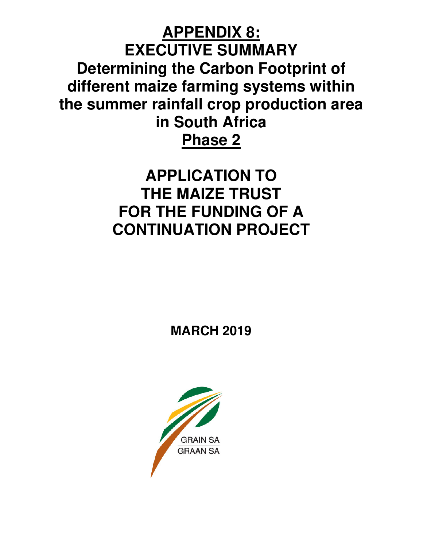**APPENDIX 8: EXECUTIVE SUMMARY Determining the Carbon Footprint of different maize farming systems within the summer rainfall crop production area in South Africa Phase 2** 

> **APPLICATION TO THE MAIZE TRUST FOR THE FUNDING OF A CONTINUATION PROJECT**

> > **MARCH 2019**

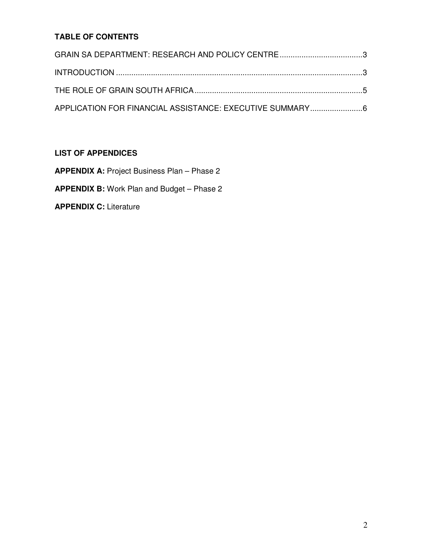# **TABLE OF CONTENTS**

# **LIST OF APPENDICES**

**APPENDIX A: Project Business Plan - Phase 2** 

## **APPENDIX B:** Work Plan and Budget – Phase 2

**APPENDIX C:** Literature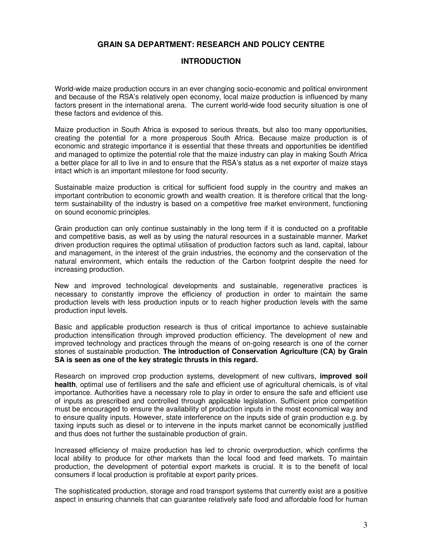#### **GRAIN SA DEPARTMENT: RESEARCH AND POLICY CENTRE**

#### **INTRODUCTION**

World-wide maize production occurs in an ever changing socio-economic and political environment and because of the RSA's relatively open economy, local maize production is influenced by many factors present in the international arena. The current world-wide food security situation is one of these factors and evidence of this.

Maize production in South Africa is exposed to serious threats, but also too many opportunities, creating the potential for a more prosperous South Africa. Because maize production is of economic and strategic importance it is essential that these threats and opportunities be identified and managed to optimize the potential role that the maize industry can play in making South Africa a better place for all to live in and to ensure that the RSA's status as a net exporter of maize stays intact which is an important milestone for food security.

Sustainable maize production is critical for sufficient food supply in the country and makes an important contribution to economic growth and wealth creation. It is therefore critical that the longterm sustainability of the industry is based on a competitive free market environment, functioning on sound economic principles.

Grain production can only continue sustainably in the long term if it is conducted on a profitable and competitive basis, as well as by using the natural resources in a sustainable manner. Market driven production requires the optimal utilisation of production factors such as land, capital, labour and management, in the interest of the grain industries, the economy and the conservation of the natural environment, which entails the reduction of the Carbon footprint despite the need for increasing production.

New and improved technological developments and sustainable, regenerative practices is necessary to constantly improve the efficiency of production in order to maintain the same production levels with less production inputs or to reach higher production levels with the same production input levels.

Basic and applicable production research is thus of critical importance to achieve sustainable production intensification through improved production efficiency. The development of new and improved technology and practices through the means of on-going research is one of the corner stones of sustainable production. **The introduction of Conservation Agriculture (CA) by Grain SA is seen as one of the key strategic thrusts in this regard.**

Research on improved crop production systems, development of new cultivars, **improved soil health**, optimal use of fertilisers and the safe and efficient use of agricultural chemicals, is of vital importance. Authorities have a necessary role to play in order to ensure the safe and efficient use of inputs as prescribed and controlled through applicable legislation. Sufficient price competition must be encouraged to ensure the availability of production inputs in the most economical way and to ensure quality inputs. However, state interference on the inputs side of grain production e.g. by taxing inputs such as diesel or to intervene in the inputs market cannot be economically justified and thus does not further the sustainable production of grain.

Increased efficiency of maize production has led to chronic overproduction, which confirms the local ability to produce for other markets than the local food and feed markets. To maintain production, the development of potential export markets is crucial. It is to the benefit of local consumers if local production is profitable at export parity prices.

The sophisticated production, storage and road transport systems that currently exist are a positive aspect in ensuring channels that can guarantee relatively safe food and affordable food for human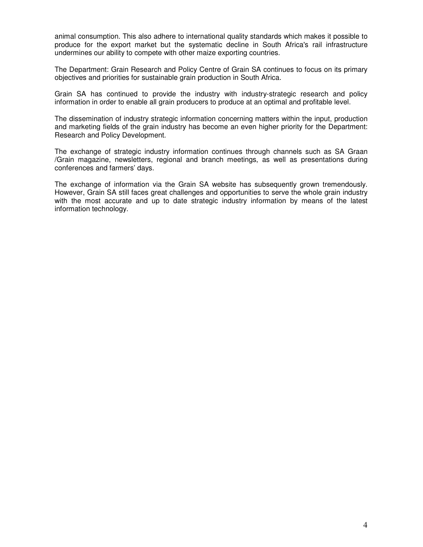animal consumption. This also adhere to international quality standards which makes it possible to produce for the export market but the systematic decline in South Africa's rail infrastructure undermines our ability to compete with other maize exporting countries.

The Department: Grain Research and Policy Centre of Grain SA continues to focus on its primary objectives and priorities for sustainable grain production in South Africa.

Grain SA has continued to provide the industry with industry-strategic research and policy information in order to enable all grain producers to produce at an optimal and profitable level.

The dissemination of industry strategic information concerning matters within the input, production and marketing fields of the grain industry has become an even higher priority for the Department: Research and Policy Development.

The exchange of strategic industry information continues through channels such as SA Graan /Grain magazine, newsletters, regional and branch meetings, as well as presentations during conferences and farmers' days.

The exchange of information via the Grain SA website has subsequently grown tremendously. However, Grain SA still faces great challenges and opportunities to serve the whole grain industry with the most accurate and up to date strategic industry information by means of the latest information technology.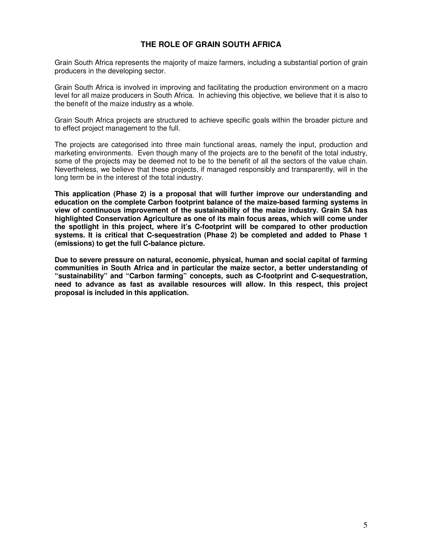#### **THE ROLE OF GRAIN SOUTH AFRICA**

Grain South Africa represents the majority of maize farmers, including a substantial portion of grain producers in the developing sector.

Grain South Africa is involved in improving and facilitating the production environment on a macro level for all maize producers in South Africa. In achieving this objective, we believe that it is also to the benefit of the maize industry as a whole.

Grain South Africa projects are structured to achieve specific goals within the broader picture and to effect project management to the full.

The projects are categorised into three main functional areas, namely the input, production and marketing environments. Even though many of the projects are to the benefit of the total industry, some of the projects may be deemed not to be to the benefit of all the sectors of the value chain. Nevertheless, we believe that these projects, if managed responsibly and transparently, will in the long term be in the interest of the total industry.

**This application (Phase 2) is a proposal that will further improve our understanding and education on the complete Carbon footprint balance of the maize-based farming systems in view of continuous improvement of the sustainability of the maize industry. Grain SA has highlighted Conservation Agriculture as one of its main focus areas, which will come under the spotlight in this project, where it's C-footprint will be compared to other production systems. It is critical that C-sequestration (Phase 2) be completed and added to Phase 1 (emissions) to get the full C-balance picture.** 

**Due to severe pressure on natural, economic, physical, human and social capital of farming communities in South Africa and in particular the maize sector, a better understanding of "sustainability" and "Carbon farming" concepts, such as C-footprint and C-sequestration, need to advance as fast as available resources will allow. In this respect, this project proposal is included in this application.**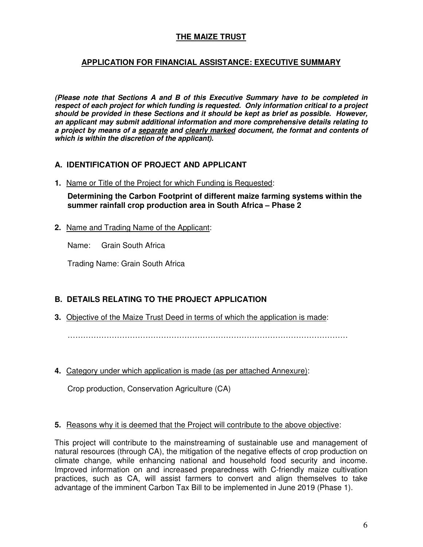## **THE MAIZE TRUST**

## **APPLICATION FOR FINANCIAL ASSISTANCE: EXECUTIVE SUMMARY**

**(Please note that Sections A and B of this Executive Summary have to be completed in respect of each project for which funding is requested. Only information critical to a project should be provided in these Sections and it should be kept as brief as possible. However, an applicant may submit additional information and more comprehensive details relating to a project by means of a separate and clearly marked document, the format and contents of which is within the discretion of the applicant).** 

## **A. IDENTIFICATION OF PROJECT AND APPLICANT**

**1.** Name or Title of the Project for which Funding is Requested:

**Determining the Carbon Footprint of different maize farming systems within the summer rainfall crop production area in South Africa – Phase 2** 

**2.** Name and Trading Name of the Applicant:

Name: Grain South Africa

Trading Name: Grain South Africa

## **B. DETAILS RELATING TO THE PROJECT APPLICATION**

**3.** Objective of the Maize Trust Deed in terms of which the application is made:

………………………………………………………………………………………………

**4.** Category under which application is made (as per attached Annexure):

Crop production, Conservation Agriculture (CA)

## **5.** Reasons why it is deemed that the Project will contribute to the above objective:

This project will contribute to the mainstreaming of sustainable use and management of natural resources (through CA), the mitigation of the negative effects of crop production on climate change, while enhancing national and household food security and income. Improved information on and increased preparedness with C-friendly maize cultivation practices, such as CA, will assist farmers to convert and align themselves to take advantage of the imminent Carbon Tax Bill to be implemented in June 2019 (Phase 1).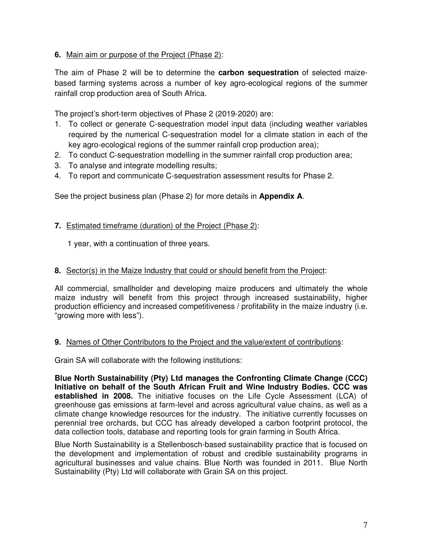## **6.** Main aim or purpose of the Project (Phase 2):

The aim of Phase 2 will be to determine the **carbon sequestration** of selected maizebased farming systems across a number of key agro-ecological regions of the summer rainfall crop production area of South Africa.

The project's short-term objectives of Phase 2 (2019-2020) are:

- 1. To collect or generate C-sequestration model input data (including weather variables required by the numerical C-sequestration model for a climate station in each of the key agro-ecological regions of the summer rainfall crop production area);
- 2. To conduct C-sequestration modelling in the summer rainfall crop production area;
- 3. To analyse and integrate modelling results;
- 4. To report and communicate C-sequestration assessment results for Phase 2.

See the project business plan (Phase 2) for more details in **Appendix A**.

## **7.** Estimated timeframe (duration) of the Project (Phase 2):

1 year, with a continuation of three years.

## **8.** Sector(s) in the Maize Industry that could or should benefit from the Project:

All commercial, smallholder and developing maize producers and ultimately the whole maize industry will benefit from this project through increased sustainability, higher production efficiency and increased competitiveness / profitability in the maize industry (i.e. "growing more with less").

## **9.** Names of Other Contributors to the Project and the value/extent of contributions:

Grain SA will collaborate with the following institutions:

**Blue North Sustainability (Pty) Ltd manages the Confronting Climate Change (CCC) Initiative on behalf of the South African Fruit and Wine Industry Bodies. CCC was established in 2008.** The initiative focuses on the Life Cycle Assessment (LCA) of greenhouse gas emissions at farm-level and across agricultural value chains, as well as a climate change knowledge resources for the industry. The initiative currently focusses on perennial tree orchards, but CCC has already developed a carbon footprint protocol, the data collection tools, database and reporting tools for grain farming in South Africa.

Blue North Sustainability is a Stellenbosch-based sustainability practice that is focused on the development and implementation of robust and credible sustainability programs in agricultural businesses and value chains. Blue North was founded in 2011. Blue North Sustainability (Pty) Ltd will collaborate with Grain SA on this project.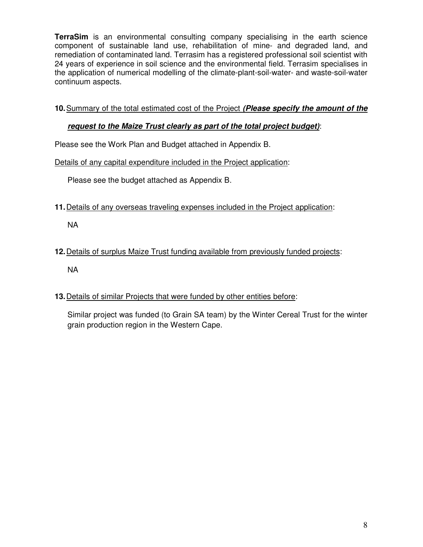**TerraSim** is an environmental consulting company specialising in the earth science component of sustainable land use, rehabilitation of mine- and degraded land, and remediation of contaminated land. Terrasim has a registered professional soil scientist with 24 years of experience in soil science and the environmental field. Terrasim specialises in the application of numerical modelling of the climate-plant-soil-water- and waste-soil-water continuum aspects.

## **10.** Summary of the total estimated cost of the Project **(Please specify the amount of the**

#### **request to the Maize Trust clearly as part of the total project budget)**:

Please see the Work Plan and Budget attached in Appendix B.

#### Details of any capital expenditure included in the Project application:

Please see the budget attached as Appendix B.

**11.** Details of any overseas traveling expenses included in the Project application:

NA

# **12.** Details of surplus Maize Trust funding available from previously funded projects: NA

## **13.** Details of similar Projects that were funded by other entities before:

Similar project was funded (to Grain SA team) by the Winter Cereal Trust for the winter grain production region in the Western Cape.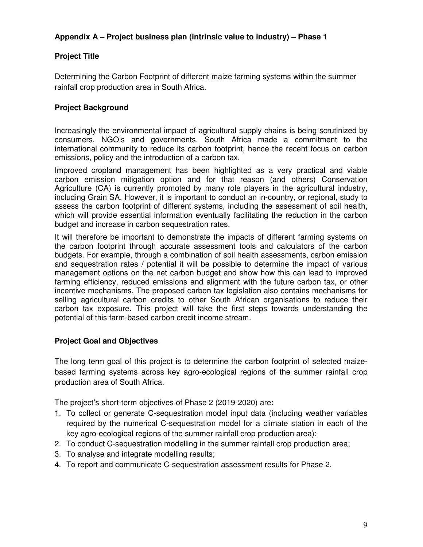## **Appendix A – Project business plan (intrinsic value to industry) – Phase 1**

## **Project Title**

Determining the Carbon Footprint of different maize farming systems within the summer rainfall crop production area in South Africa.

## **Project Background**

Increasingly the environmental impact of agricultural supply chains is being scrutinized by consumers, NGO's and governments. South Africa made a commitment to the international community to reduce its carbon footprint, hence the recent focus on carbon emissions, policy and the introduction of a carbon tax.

Improved cropland management has been highlighted as a very practical and viable carbon emission mitigation option and for that reason (and others) Conservation Agriculture (CA) is currently promoted by many role players in the agricultural industry, including Grain SA. However, it is important to conduct an in-country, or regional, study to assess the carbon footprint of different systems, including the assessment of soil health, which will provide essential information eventually facilitating the reduction in the carbon budget and increase in carbon sequestration rates.

It will therefore be important to demonstrate the impacts of different farming systems on the carbon footprint through accurate assessment tools and calculators of the carbon budgets. For example, through a combination of soil health assessments, carbon emission and sequestration rates / potential it will be possible to determine the impact of various management options on the net carbon budget and show how this can lead to improved farming efficiency, reduced emissions and alignment with the future carbon tax, or other incentive mechanisms. The proposed carbon tax legislation also contains mechanisms for selling agricultural carbon credits to other South African organisations to reduce their carbon tax exposure. This project will take the first steps towards understanding the potential of this farm-based carbon credit income stream.

## **Project Goal and Objectives**

The long term goal of this project is to determine the carbon footprint of selected maizebased farming systems across key agro-ecological regions of the summer rainfall crop production area of South Africa.

The project's short-term objectives of Phase 2 (2019-2020) are:

- 1. To collect or generate C-sequestration model input data (including weather variables required by the numerical C-sequestration model for a climate station in each of the key agro-ecological regions of the summer rainfall crop production area);
- 2. To conduct C-sequestration modelling in the summer rainfall crop production area;
- 3. To analyse and integrate modelling results;
- 4. To report and communicate C-sequestration assessment results for Phase 2.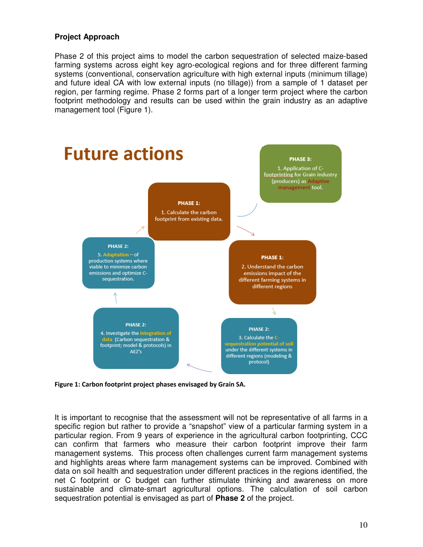#### **Project Approach**

Phase 2 of this project aims to model the carbon sequestration of selected maize-based farming systems across eight key agro-ecological regions and for three different farming systems (conventional, conservation agriculture with high external inputs (minimum tillage) and future ideal CA with low external inputs (no tillage)) from a sample of 1 dataset per region, per farming regime. Phase 2 forms part of a longer term project where the carbon footprint methodology and results can be used within the grain industry as an adaptive management tool (Figure 1).



Figure 1: Carbon footprint project phases envisaged by Grain SA.

It is important to recognise that the assessment will not be representative of all farms in a specific region but rather to provide a "snapshot" view of a particular farming system in a particular region. From 9 years of experience in the agricultural carbon footprinting, CCC can confirm that farmers who measure their carbon footprint improve their farm management systems. This process often challenges current farm management systems and highlights areas where farm management systems can be improved. Combined with data on soil health and sequestration under different practices in the regions identified, the net C footprint or C budget can further stimulate thinking and awareness on more sustainable and climate-smart agricultural options. The calculation of soil carbon sequestration potential is envisaged as part of **Phase 2** of the project.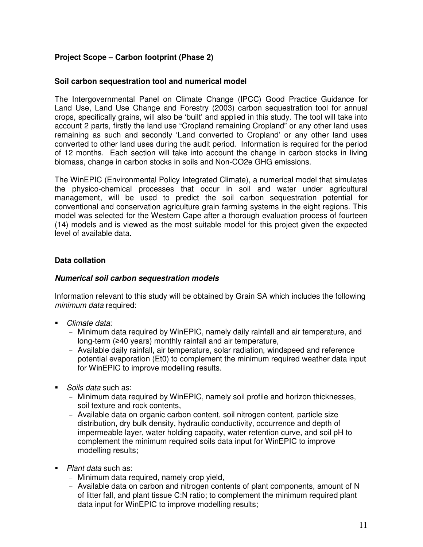## **Project Scope – Carbon footprint (Phase 2)**

#### **Soil carbon sequestration tool and numerical model**

The Intergovernmental Panel on Climate Change (IPCC) Good Practice Guidance for Land Use, Land Use Change and Forestry (2003) carbon sequestration tool for annual crops, specifically grains, will also be 'built' and applied in this study. The tool will take into account 2 parts, firstly the land use "Cropland remaining Cropland" or any other land uses remaining as such and secondly 'Land converted to Cropland' or any other land uses converted to other land uses during the audit period. Information is required for the period of 12 months. Each section will take into account the change in carbon stocks in living biomass, change in carbon stocks in soils and Non-CO2e GHG emissions.

The WinEPIC (Environmental Policy Integrated Climate), a numerical model that simulates the physico-chemical processes that occur in soil and water under agricultural management, will be used to predict the soil carbon sequestration potential for conventional and conservation agriculture grain farming systems in the eight regions. This model was selected for the Western Cape after a thorough evaluation process of fourteen (14) models and is viewed as the most suitable model for this project given the expected level of available data.

#### **Data collation**

#### **Numerical soil carbon sequestration models**

Information relevant to this study will be obtained by Grain SA which includes the following minimum data required:

- Climate data:
	- Minimum data required by WinEPIC, namely daily rainfall and air temperature, and long-term (≥40 years) monthly rainfall and air temperature,
	- Available daily rainfall, air temperature, solar radiation, windspeed and reference potential evaporation (Et0) to complement the minimum required weather data input for WinEPIC to improve modelling results.
- Soils data such as:
	- Minimum data required by WinEPIC, namely soil profile and horizon thicknesses, soil texture and rock contents,
	- Available data on organic carbon content, soil nitrogen content, particle size distribution, dry bulk density, hydraulic conductivity, occurrence and depth of impermeable layer, water holding capacity, water retention curve, and soil pH to complement the minimum required soils data input for WinEPIC to improve modelling results;
- Plant data such as:
	- Minimum data required, namely crop yield,
	- Available data on carbon and nitrogen contents of plant components, amount of N of litter fall, and plant tissue C:N ratio; to complement the minimum required plant data input for WinEPIC to improve modelling results;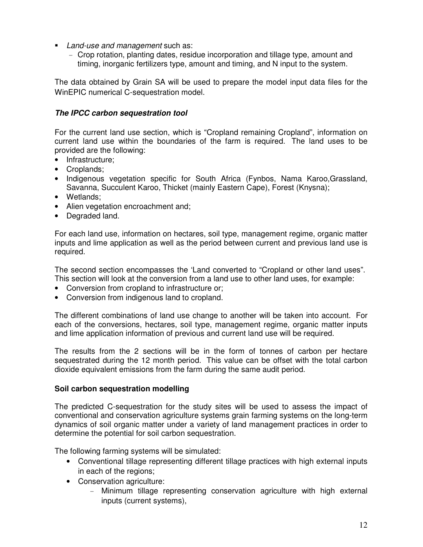- Land-use and management such as:
	- Crop rotation, planting dates, residue incorporation and tillage type, amount and timing, inorganic fertilizers type, amount and timing, and N input to the system.

The data obtained by Grain SA will be used to prepare the model input data files for the WinEPIC numerical C-sequestration model.

## **The IPCC carbon sequestration tool**

For the current land use section, which is "Cropland remaining Cropland", information on current land use within the boundaries of the farm is required. The land uses to be provided are the following:

- Infrastructure;
- Croplands;
- Indigenous vegetation specific for South Africa (Fynbos, Nama Karoo,Grassland, Savanna, Succulent Karoo, Thicket (mainly Eastern Cape), Forest (Knysna);
- Wetlands;
- Alien vegetation encroachment and;
- Degraded land.

For each land use, information on hectares, soil type, management regime, organic matter inputs and lime application as well as the period between current and previous land use is required.

The second section encompasses the 'Land converted to "Cropland or other land uses". This section will look at the conversion from a land use to other land uses, for example:

- Conversion from cropland to infrastructure or;
- Conversion from indigenous land to cropland.

The different combinations of land use change to another will be taken into account. For each of the conversions, hectares, soil type, management regime, organic matter inputs and lime application information of previous and current land use will be required.

The results from the 2 sections will be in the form of tonnes of carbon per hectare sequestrated during the 12 month period. This value can be offset with the total carbon dioxide equivalent emissions from the farm during the same audit period.

## **Soil carbon sequestration modelling**

The predicted C-sequestration for the study sites will be used to assess the impact of conventional and conservation agriculture systems grain farming systems on the long-term dynamics of soil organic matter under a variety of land management practices in order to determine the potential for soil carbon sequestration.

The following farming systems will be simulated:

- Conventional tillage representing different tillage practices with high external inputs in each of the regions;
- Conservation agriculture:
	- Minimum tillage representing conservation agriculture with high external inputs (current systems),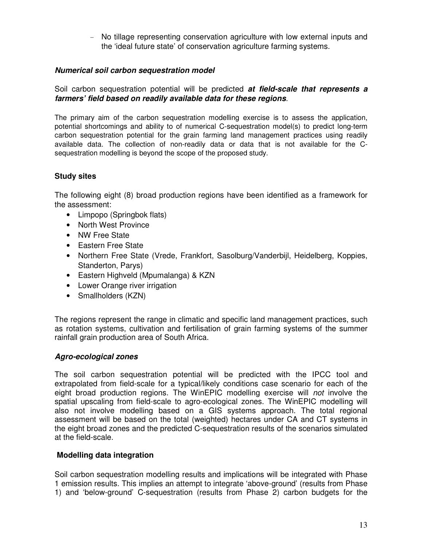- No tillage representing conservation agriculture with low external inputs and the 'ideal future state' of conservation agriculture farming systems.

#### **Numerical soil carbon sequestration model**

#### Soil carbon sequestration potential will be predicted **at field-scale that represents a farmers' field based on readily available data for these regions**.

The primary aim of the carbon sequestration modelling exercise is to assess the application, potential shortcomings and ability to of numerical C-sequestration model(s) to predict long-term carbon sequestration potential for the grain farming land management practices using readily available data. The collection of non-readily data or data that is not available for the Csequestration modelling is beyond the scope of the proposed study.

#### **Study sites**

The following eight (8) broad production regions have been identified as a framework for the assessment:

- Limpopo (Springbok flats)
- North West Province
- NW Free State
- Eastern Free State
- Northern Free State (Vrede, Frankfort, Sasolburg/Vanderbijl, Heidelberg, Koppies, Standerton, Parys)
- Eastern Highveld (Mpumalanga) & KZN
- Lower Orange river irrigation
- Smallholders (KZN)

The regions represent the range in climatic and specific land management practices, such as rotation systems, cultivation and fertilisation of grain farming systems of the summer rainfall grain production area of South Africa.

#### **Agro-ecological zones**

The soil carbon sequestration potential will be predicted with the IPCC tool and extrapolated from field-scale for a typical/likely conditions case scenario for each of the eight broad production regions. The WinEPIC modelling exercise will *not* involve the spatial upscaling from field-scale to agro-ecological zones. The WinEPIC modelling will also not involve modelling based on a GIS systems approach. The total regional assessment will be based on the total (weighted) hectares under CA and CT systems in the eight broad zones and the predicted C-sequestration results of the scenarios simulated at the field-scale.

#### **Modelling data integration**

Soil carbon sequestration modelling results and implications will be integrated with Phase 1 emission results. This implies an attempt to integrate 'above-ground' (results from Phase 1) and 'below-ground' C-sequestration (results from Phase 2) carbon budgets for the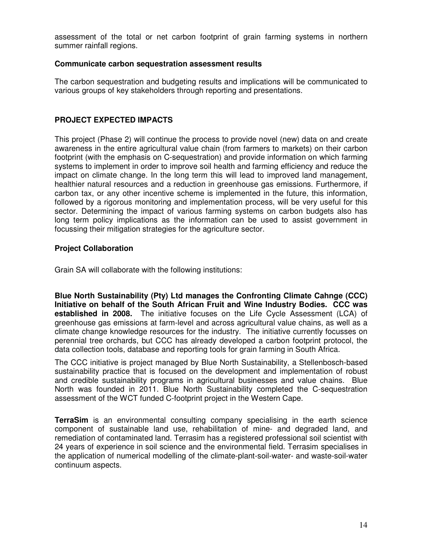assessment of the total or net carbon footprint of grain farming systems in northern summer rainfall regions.

#### **Communicate carbon sequestration assessment results**

The carbon sequestration and budgeting results and implications will be communicated to various groups of key stakeholders through reporting and presentations.

## **PROJECT EXPECTED IMPACTS**

This project (Phase 2) will continue the process to provide novel (new) data on and create awareness in the entire agricultural value chain (from farmers to markets) on their carbon footprint (with the emphasis on C-sequestration) and provide information on which farming systems to implement in order to improve soil health and farming efficiency and reduce the impact on climate change. In the long term this will lead to improved land management, healthier natural resources and a reduction in greenhouse gas emissions. Furthermore, if carbon tax, or any other incentive scheme is implemented in the future, this information, followed by a rigorous monitoring and implementation process, will be very useful for this sector. Determining the impact of various farming systems on carbon budgets also has long term policy implications as the information can be used to assist government in focussing their mitigation strategies for the agriculture sector.

## **Project Collaboration**

Grain SA will collaborate with the following institutions:

**Blue North Sustainability (Pty) Ltd manages the Confronting Climate Cahnge (CCC) Initiative on behalf of the South African Fruit and Wine Industry Bodies. CCC was established in 2008.** The initiative focuses on the Life Cycle Assessment (LCA) of greenhouse gas emissions at farm-level and across agricultural value chains, as well as a climate change knowledge resources for the industry. The initiative currently focusses on perennial tree orchards, but CCC has already developed a carbon footprint protocol, the data collection tools, database and reporting tools for grain farming in South Africa.

The CCC initiative is project managed by Blue North Sustainability, a Stellenbosch-based sustainability practice that is focused on the development and implementation of robust and credible sustainability programs in agricultural businesses and value chains. Blue North was founded in 2011. Blue North Sustainability completed the C-sequestration assessment of the WCT funded C-footprint project in the Western Cape.

**TerraSim** is an environmental consulting company specialising in the earth science component of sustainable land use, rehabilitation of mine- and degraded land, and remediation of contaminated land. Terrasim has a registered professional soil scientist with 24 years of experience in soil science and the environmental field. Terrasim specialises in the application of numerical modelling of the climate-plant-soil-water- and waste-soil-water continuum aspects.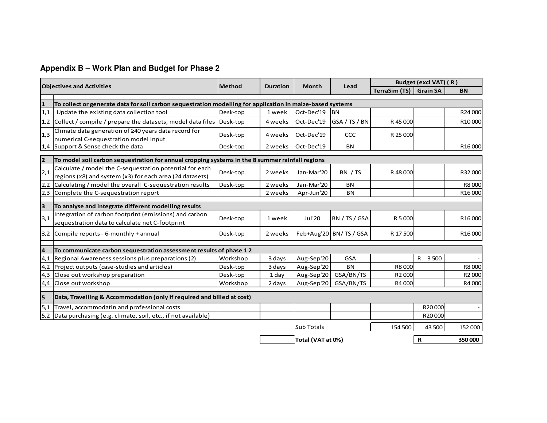|  | Appendix B – Work Plan and Budget for Phase 2 |  |  |  |  |  |  |  |
|--|-----------------------------------------------|--|--|--|--|--|--|--|
|--|-----------------------------------------------|--|--|--|--|--|--|--|

| <b>Objectives and Activities</b> |                                                                                                                     | <b>Method</b> | <b>Duration</b> | <b>Month</b>  | Lead                   | Budget (excl VAT) (R) |                 |                     |  |  |  |  |
|----------------------------------|---------------------------------------------------------------------------------------------------------------------|---------------|-----------------|---------------|------------------------|-----------------------|-----------------|---------------------|--|--|--|--|
|                                  |                                                                                                                     |               |                 |               |                        | TerraSim (TS)         | <b>Grain SA</b> | <b>BN</b>           |  |  |  |  |
| $\mathbf{1}$                     | To collect or generate data for soil carbon sequestration modelling for application in maize-based systems          |               |                 |               |                        |                       |                 |                     |  |  |  |  |
| 1,1                              | Update the existing data collection tool                                                                            | Desk-top      | 1 week          | Oct-Dec'19    | <b>IBN</b>             |                       |                 | R24 000             |  |  |  |  |
| 1,2                              | Collect / compile / prepare the datasets, model data files Desk-top                                                 |               | 4 weeks         | Oct-Dec'19    | GSA / TS / BN          | R 45 000              |                 | R10000              |  |  |  |  |
| 1,3                              | Climate data generation of ≥40 years data record for<br>numerical C-sequestration model input                       | Desk-top      | 4 weeks         | Oct-Dec'19    | CCC                    | R 25 000              |                 |                     |  |  |  |  |
| 1,4                              | Support & Sense check the data                                                                                      | Desk-top      | 2 weeks         | Oct-Dec'19    | <b>BN</b>              |                       |                 | R16000              |  |  |  |  |
| 12                               | To model soil carbon sequestration for annual cropping systems in the 8 summer rainfall regions                     |               |                 |               |                        |                       |                 |                     |  |  |  |  |
| 2,1                              | Calculate / model the C-sequestation potential for each<br>regions (x8) and system (x3) for each area (24 datasets) | Desk-top      | 2 weeks         | Jan-Mar'20    | BN / TS                | R48000                |                 | R32000              |  |  |  |  |
| 2,2                              | Calculating / model the overall C-sequestration results                                                             | Desk-top      | 2 weeks         | Jan-Mar'20    | BN                     |                       |                 | R8 000              |  |  |  |  |
| 2,3                              | Complete the C-sequestration report                                                                                 |               | 2 weeks         | Apr-Jun'20    | <b>BN</b>              |                       |                 | R16000              |  |  |  |  |
| 3                                | To analyse and integrate different modelling results                                                                |               |                 |               |                        |                       |                 |                     |  |  |  |  |
| 3,1                              | Integration of carbon footprint (emissions) and carbon<br>sequestration data to calculate net C-footprint           | Desk-top      | 1 week          | <b>Jul'20</b> | BN / TS / GSA          | R 5 000               |                 | R16 000             |  |  |  |  |
|                                  | $3,2$ Compile reports - 6-monthly + annual                                                                          | Desk-top      | 2 weeks         |               | Feb+Aug'20 BN/TS / GSA | R 17 500              |                 | R <sub>16</sub> 000 |  |  |  |  |
| 4                                | To communicate carbon sequestration assessment results of phase 12                                                  |               |                 |               |                        |                       |                 |                     |  |  |  |  |
| 4,1                              | Regional Awareness sessions plus preparations (2)                                                                   | Workshop      | 3 days          | Aug-Sep'20    | <b>GSA</b>             |                       | R 3500          |                     |  |  |  |  |
| 4,2                              | Project outputs (case-studies and articles)                                                                         | Desk-top      | 3 days          | Aug-Sep'20    | <b>BN</b>              | R8 000                |                 | R8 000              |  |  |  |  |
| 4,3                              | Close out workshop preparation                                                                                      | Desk-top      | 1 day           | Aug-Sep'20    | GSA/BN/TS              | R <sub>2</sub> 000    |                 | R <sub>2</sub> 000  |  |  |  |  |
| 4,4                              | Close out workshop                                                                                                  | Workshop      | 2 days          | Aug-Sep'20    | GSA/BN/TS              | R4 000                |                 | R4 000              |  |  |  |  |
| 5                                | Data, Travelling & Accommodation (only if required and billed at cost)                                              |               |                 |               |                        |                       |                 |                     |  |  |  |  |
| 5,1                              | Travel, accommodatin and professional costs                                                                         |               |                 |               |                        |                       | R20000          |                     |  |  |  |  |
| 5,2                              | Data purchasing (e.g. climate, soil, etc., if not available)                                                        |               |                 |               |                        |                       | R20 000         |                     |  |  |  |  |
| Sub Totals<br>154 500            |                                                                                                                     |               |                 |               |                        | 43 500                | 152 000         |                     |  |  |  |  |
|                                  | Total (VAT at 0%)                                                                                                   |               |                 |               |                        | $\mathbf R$           | 350 000         |                     |  |  |  |  |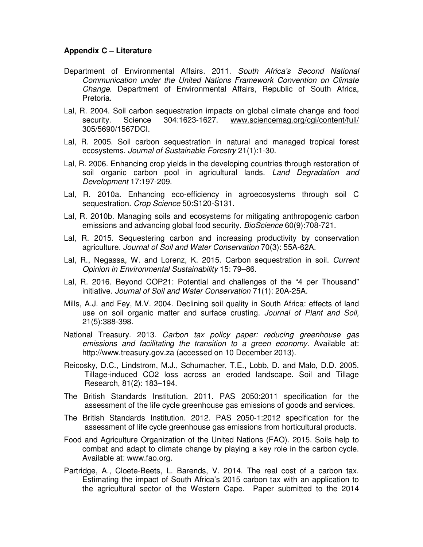#### **Appendix C – Literature**

- Department of Environmental Affairs. 2011. South Africa's Second National Communication under the United Nations Framework Convention on Climate Change. Department of Environmental Affairs, Republic of South Africa, Pretoria.
- Lal, R. 2004. Soil carbon sequestration impacts on global climate change and food security. Science 304:1623-1627. www.sciencemag.org/cgi/content/full/ 305/5690/1567DCI.
- Lal, R. 2005. Soil carbon sequestration in natural and managed tropical forest ecosystems. Journal of Sustainable Forestry 21(1):1-30.
- Lal, R. 2006. Enhancing crop yields in the developing countries through restoration of soil organic carbon pool in agricultural lands. Land Degradation and Development 17:197-209.
- Lal, R. 2010a. Enhancing eco-efficiency in agroecosystems through soil C sequestration. Crop Science 50:S120-S131.
- Lal, R. 2010b. Managing soils and ecosystems for mitigating anthropogenic carbon emissions and advancing global food security. BioScience 60(9):708-721.
- Lal, R. 2015. Sequestering carbon and increasing productivity by conservation agriculture. Journal of Soil and Water Conservation 70(3): 55A-62A.
- Lal, R., Negassa, W. and Lorenz, K. 2015. Carbon sequestration in soil. Current Opinion in Environmental Sustainability 15: 79–86.
- Lal, R. 2016. Beyond COP21: Potential and challenges of the "4 per Thousand" initiative. Journal of Soil and Water Conservation 71(1): 20A-25A.
- Mills, A.J. and Fey, M.V. 2004. Declining soil quality in South Africa: effects of land use on soil organic matter and surface crusting. Journal of Plant and Soil, 21(5):388-398.
- National Treasury. 2013. Carbon tax policy paper: reducing greenhouse gas emissions and facilitating the transition to a green economy. Available at: http://www.treasury.gov.za (accessed on 10 December 2013).
- Reicosky, D.C., Lindstrom, M.J., Schumacher, T.E., Lobb, D. and Malo, D.D. 2005. Tillage-induced CO2 loss across an eroded landscape. Soil and Tillage Research, 81(2): 183–194.
- The British Standards Institution. 2011. PAS 2050:2011 specification for the assessment of the life cycle greenhouse gas emissions of goods and services.
- The British Standards Institution. 2012. PAS 2050-1:2012 specification for the assessment of life cycle greenhouse gas emissions from horticultural products.
- Food and Agriculture Organization of the United Nations (FAO). 2015. Soils help to combat and adapt to climate change by playing a key role in the carbon cycle. Available at: www.fao.org.
- Partridge, A., Cloete-Beets, L. Barends, V. 2014. The real cost of a carbon tax. Estimating the impact of South Africa's 2015 carbon tax with an application to the agricultural sector of the Western Cape. Paper submitted to the 2014